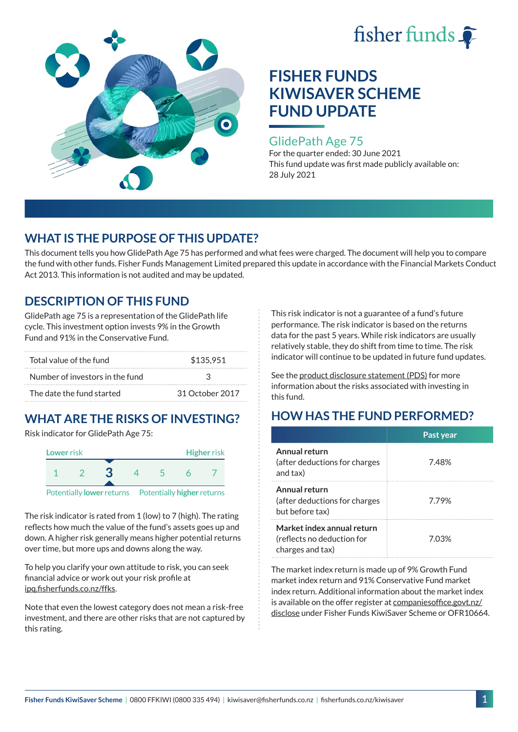



## GlidePath Age 75

For the quarter ended: 30 June 2021 This fund update was first made publicly available on: 28 July 2021

## **WHAT IS THE PURPOSE OF THIS UPDATE?**

This document tells you how GlidePath Age 75 has performed and what fees were charged. The document will help you to compare the fund with other funds. Fisher Funds Management Limited prepared this update in accordance with the Financial Markets Conduct Act 2013. This information is not audited and may be updated.

## **DESCRIPTION OF THIS FUND**

GlidePath age 75 is a representation of the GlidePath life cycle. This investment option invests 9% in the Growth Fund and 91% in the Conservative Fund.

| Total value of the fund         | \$135,951       |  |
|---------------------------------|-----------------|--|
| Number of investors in the fund | ્ર              |  |
| The date the fund started       | 31 October 2017 |  |

# **WHAT ARE THE RISKS OF INVESTING?**

Risk indicator for GlidePath Age 75:



Potentially **lower** returns Potentially **higher** returns

The risk indicator is rated from 1 (low) to 7 (high). The rating reflects how much the value of the fund's assets goes up and down. A higher risk generally means higher potential returns over time, but more ups and downs along the way.

To help you clarify your own attitude to risk, you can seek financial advice or work out your risk profile at [ipq.fisherfunds.co.nz/ffks](https://ipq.fisherfunds.co.nz/ffks).

Note that even the lowest category does not mean a risk-free investment, and there are other risks that are not captured by this rating.

This risk indicator is not a guarantee of a fund's future performance. The risk indicator is based on the returns data for the past 5 years. While risk indicators are usually relatively stable, they do shift from time to time. The risk indicator will continue to be updated in future fund updates.

See the [product disclosure statement \(PDS\)](https://fisherfunds.co.nz/assets/PDS/Fisher-Funds-KiwiSaver-Scheme-PDS.pdf) for more information about the risks associated with investing in this fund.

# **HOW HAS THE FUND PERFORMED?**

|                                                                              | Past year |
|------------------------------------------------------------------------------|-----------|
| Annual return<br>(after deductions for charges<br>and tax)                   | 7.48%     |
| Annual return<br>(after deductions for charges<br>but before tax)            | 779%      |
| Market index annual return<br>(reflects no deduction for<br>charges and tax) | 7.03%     |

The market index return is made up of 9% Growth Fund market index return and 91% Conservative Fund market index return. Additional information about the market index is available on the offer register at [companiesoffice.govt.nz/](http://companiesoffice.govt.nz/disclose) [disclose](http://companiesoffice.govt.nz/disclose) under Fisher Funds KiwiSaver Scheme or OFR10664.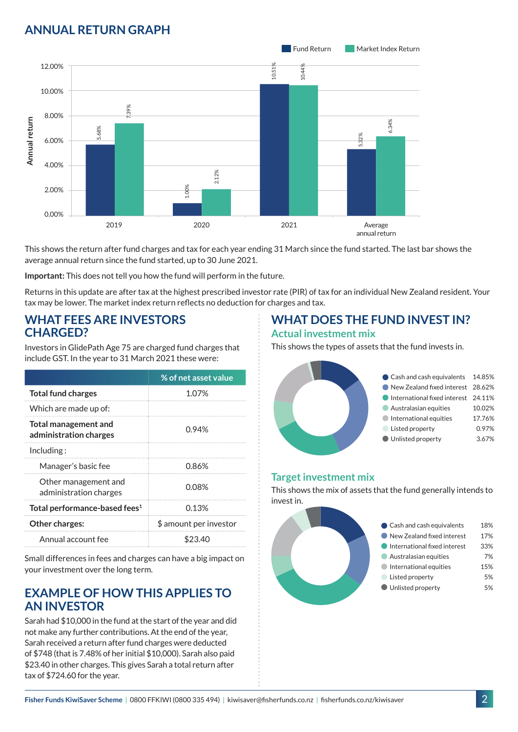# **ANNUAL RETURN GRAPH**



This shows the return after fund charges and tax for each year ending 31 March since the fund started. The last bar shows the average annual return since the fund started, up to 30 June 2021.

**Important:** This does not tell you how the fund will perform in the future.

Returns in this update are after tax at the highest prescribed investor rate (PIR) of tax for an individual New Zealand resident. Your tax may be lower. The market index return reflects no deduction for charges and tax.

### **WHAT FEES ARE INVESTORS CHARGED?**

Investors in GlidePath Age 75 are charged fund charges that include GST. In the year to 31 March 2021 these were:

|                                                | % of net asset value   |  |
|------------------------------------------------|------------------------|--|
| <b>Total fund charges</b>                      | 1.07%                  |  |
| Which are made up of:                          |                        |  |
| Total management and<br>administration charges | 0.94%                  |  |
| Including:                                     |                        |  |
| Manager's basic fee                            | 0.86%                  |  |
| Other management and<br>administration charges | 0.08%                  |  |
| Total performance-based fees <sup>1</sup>      | 0.13%                  |  |
| Other charges:                                 | \$ amount per investor |  |
| Annual account fee                             |                        |  |

Small differences in fees and charges can have a big impact on your investment over the long term.

## **EXAMPLE OF HOW THIS APPLIES TO AN INVESTOR**

Sarah had \$10,000 in the fund at the start of the year and did not make any further contributions. At the end of the year, Sarah received a return after fund charges were deducted of \$748 (that is 7.48% of her initial \$10,000). Sarah also paid \$23.40 in other charges. This gives Sarah a total return after tax of \$724.60 for the year.

# **WHAT DOES THE FUND INVEST IN?**

#### **Actual investment mix**

This shows the types of assets that the fund invests in.



### **Target investment mix**

This shows the mix of assets that the fund generally intends to invest in.